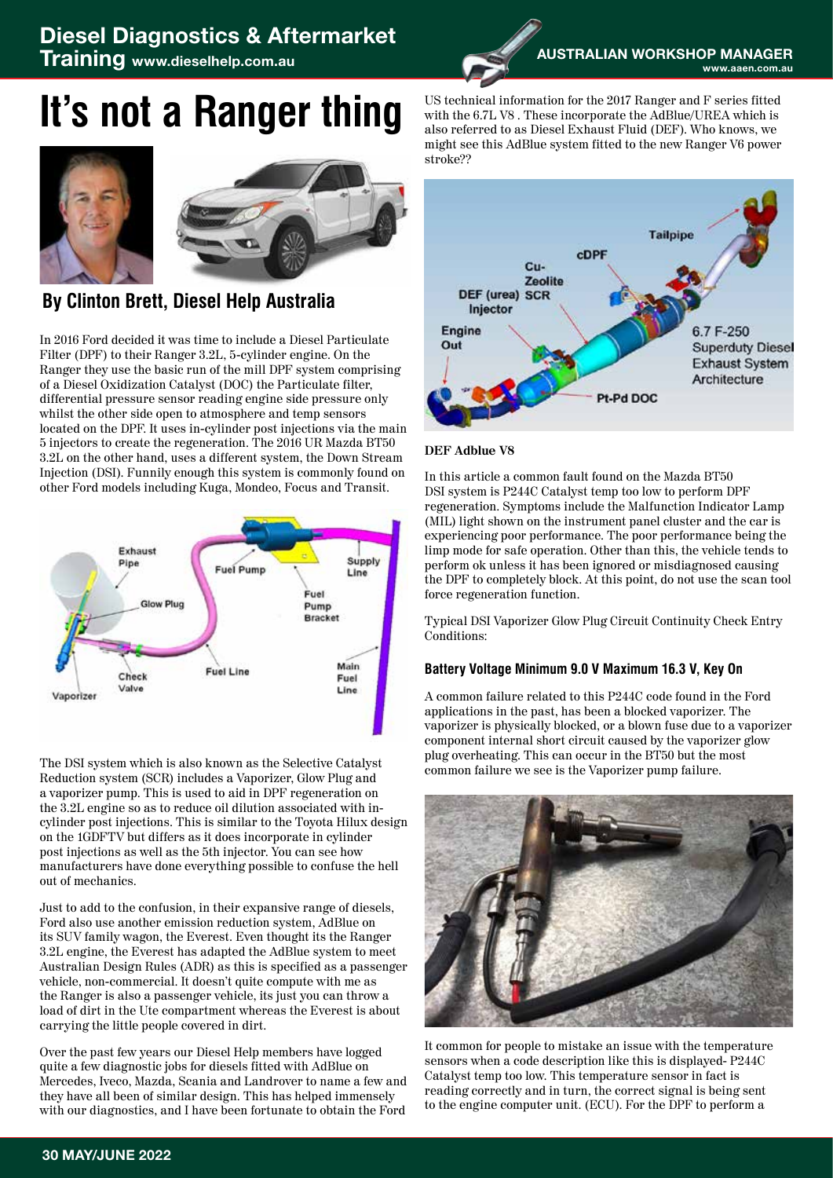# **It's not a Ranger thing**





## **By Clinton Brett, Diesel Help Australia**

In 2016 Ford decided it was time to include a Diesel Particulate Filter (DPF) to their Ranger 3.2L, 5-cylinder engine. On the Ranger they use the basic run of the mill DPF system comprising of a Diesel Oxidization Catalyst (DOC) the Particulate filter, differential pressure sensor reading engine side pressure only whilst the other side open to atmosphere and temp sensors located on the DPF. It uses in-cylinder post injections via the main 5 injectors to create the regeneration. The 2016 UR Mazda BT50 3.2L on the other hand, uses a different system, the Down Stream Injection (DSI). Funnily enough this system is commonly found on other Ford models including Kuga, Mondeo, Focus and Transit.



The DSI system which is also known as the Selective Catalyst Reduction system (SCR) includes a Vaporizer, Glow Plug and a vaporizer pump. This is used to aid in DPF regeneration on the 3.2L engine so as to reduce oil dilution associated with incylinder post injections. This is similar to the Toyota Hilux design on the 1GDFTV but differs as it does incorporate in cylinder post injections as well as the 5th injector. You can see how manufacturers have done everything possible to confuse the hell out of mechanics.

Just to add to the confusion, in their expansive range of diesels, Ford also use another emission reduction system, AdBlue on its SUV family wagon, the Everest. Even thought its the Ranger 3.2L engine, the Everest has adapted the AdBlue system to meet Australian Design Rules (ADR) as this is specified as a passenger vehicle, non-commercial. It doesn't quite compute with me as the Ranger is also a passenger vehicle, its just you can throw a load of dirt in the Ute compartment whereas the Everest is about carrying the little people covered in dirt.

Over the past few years our Diesel Help members have logged quite a few diagnostic jobs for diesels fitted with AdBlue on Mercedes, Iveco, Mazda, Scania and Landrover to name a few and they have all been of similar design. This has helped immensely with our diagnostics, and I have been fortunate to obtain the Ford AUSTRALIAN WORKSHOP MANAGER www.aaen.com.au

US technical information for the 2017 Ranger and F series fitted with the 6.7L V8 . These incorporate the AdBlue/UREA which is also referred to as Diesel Exhaust Fluid (DEF). Who knows, we might see this AdBlue system fitted to the new Ranger V6 power stroke??



#### **DEF Adblue V8**

In this article a common fault found on the Mazda BT50 DSI system is P244C Catalyst temp too low to perform DPF regeneration. Symptoms include the Malfunction Indicator Lamp (MIL) light shown on the instrument panel cluster and the car is experiencing poor performance. The poor performance being the limp mode for safe operation. Other than this, the vehicle tends to perform ok unless it has been ignored or misdiagnosed causing the DPF to completely block. At this point, do not use the scan tool force regeneration function.

Typical DSI Vaporizer Glow Plug Circuit Continuity Check Entry Conditions:

#### **Battery Voltage Minimum 9.0 V Maximum 16.3 V, Key On**

A common failure related to this P244C code found in the Ford applications in the past, has been a blocked vaporizer. The vaporizer is physically blocked, or a blown fuse due to a vaporizer component internal short circuit caused by the vaporizer glow plug overheating. This can occur in the BT50 but the most common failure we see is the Vaporizer pump failure.



It common for people to mistake an issue with the temperature sensors when a code description like this is displayed- P244C Catalyst temp too low. This temperature sensor in fact is reading correctly and in turn, the correct signal is being sent to the engine computer unit. (ECU). For the DPF to perform a